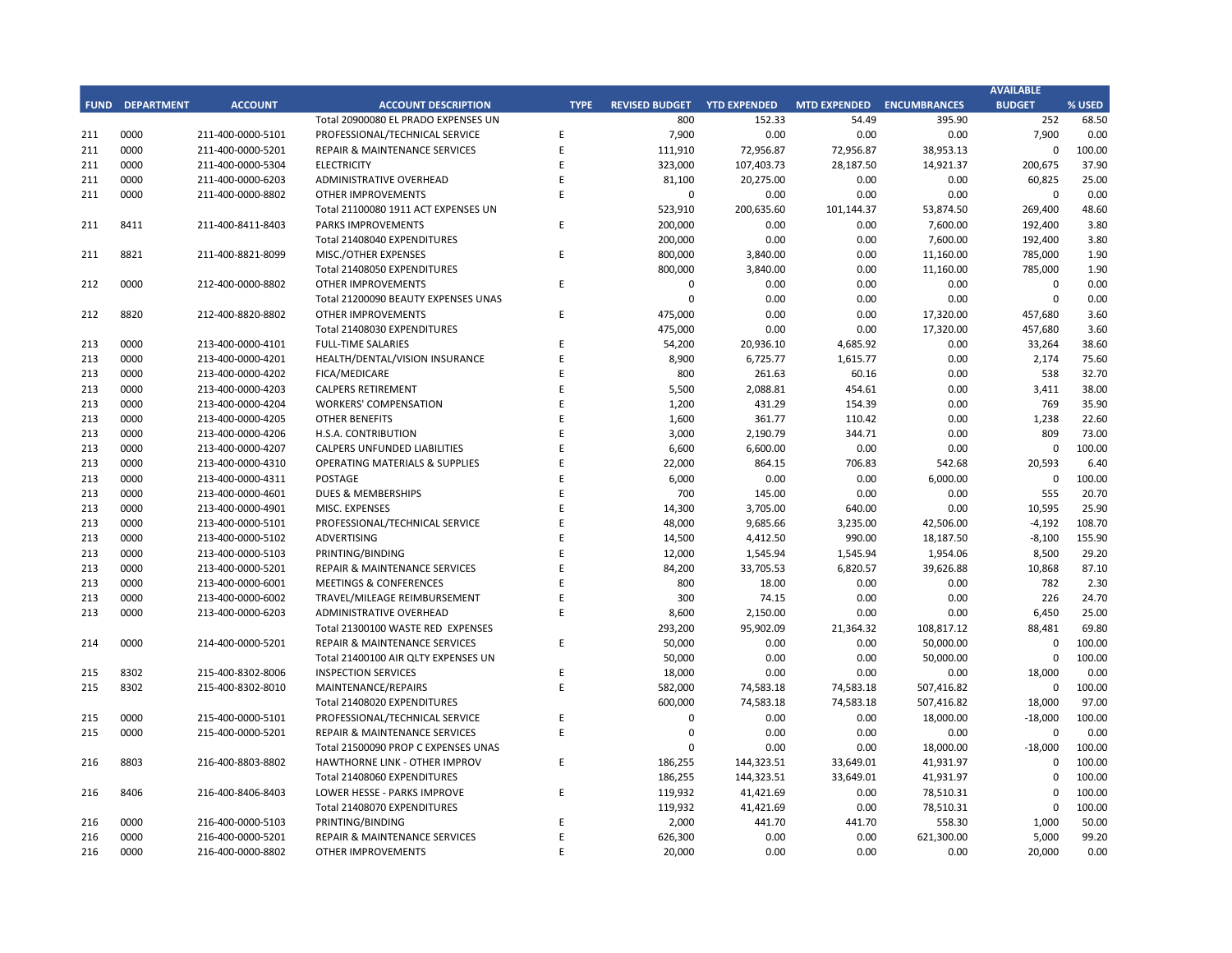## **CITY OF RANCHO PALOS VERDES SUMMARY OF EXPENDITURES - ALL FUNDS November 30, 2018**

|             |                                     |                       | FY 2018-19         |                    |                      | FY 2017-18  |                      |                          |           |
|-------------|-------------------------------------|-----------------------|--------------------|--------------------|----------------------|-------------|----------------------|--------------------------|-----------|
| <b>FUND</b> | <b>FUND DESCRIPTION</b>             | <b>REVISED BUDGET</b> | <b>YTD ACTUALS</b> | <b>YTD ENCUMB.</b> | <b>YTD ACTUALS +</b> | <b>USED</b> | <b>YTD ACTUALS +</b> | YEAR OVER YEAR CHANGE    |           |
|             | 101 GENERAL FUND                    |                       |                    |                    | <b>ENCUMB.</b>       |             | <b>ENCUMB.</b>       | <b>ACTUALS + ENCUMB.</b> |           |
|             | <b>CITY COUNCIL</b>                 | \$<br>154,600         | \$<br>$62,190$ \$  | $3,725$ \$         | 65,915               | 42.6%       | \$<br>56,018         | \$<br>9,897              | 17.7%     |
|             | <b>LEGAL SERVICES</b>               | 925,000               | 421,908            | $\bf 0$            | 421,908              | 45.6%       | 422,335              | (427)                    | $-0.1%$   |
|             | <b>CITY CLERK</b>                   | 621,200               | 165,374            | 5,797              | 171,171              | 27.6%       | 213,042              | (41, 871)                | $-19.7%$  |
|             | <b>CITY MANAGER</b>                 | 856,500               | 345,105            | 33,100             | 378,205              | 44.2%       | 458,548              | (80, 343)                | $-17.5%$  |
|             | <b>CITY ADMINISTRATION</b>          | 555,750               | 149,938            | 54,651             | 204,590              | 36.8%       | 174,606              | 29,984                   | 17.2%     |
|             | <b>HUMAN RESOURCES</b>              | 365,600               | 134,924            | 6,683              | 141,608              | 38.7%       | 182,503              | (40, 896)                | $-22.4%$  |
|             | <b>INFORMATION TECHNOLOGIES</b>     | 1,251,513             | 418,184            | 270,065            | 688,249              | 55.0%       | 635,173              | 53,076                   | 8.4%      |
|             | <b>FINANCE</b>                      | 1,604,950             | 572,877            | 47,563             | 620,441              | 38.7%       | 551,617              | 68,824                   | 12.5%     |
|             | <b>PUBLIC WORKS</b>                 | 6,139,977             | 1,309,919          | 1,536,029          | 2,845,948            | 46.4%       | 3,162,170            | (316, 222)               | $-10.0%$  |
|             | <b>COMMUNITY DEVELOPMENT</b>        | 3,798,174             | 1,182,686          | 641,000            | 1,823,686            | 48.0%       | 1,556,078            | 267,608                  | 17.2%     |
|             | <b>RECREATIONAL &amp; PARKS</b>     | 2,895,000             | 1,069,273          | 67,023             | 1,136,296            | 39.3%       | 1,020,088            | 116,208                  | 11.4%     |
|             | <b>PUBLIC SAFETY</b>                | 7,926,749             | 2,378,226          | 5,255,591          | 7,633,817            | 96.3%       | 7,069,543            | 564,274                  | 8.0%      |
|             | NON-DEPARTMENTAL                    | 1,439,812             | 315,207            | 121,715            | 436,922              | 30.3%       | 930,480              | (493, 557)               | $-53.0%$  |
|             | <b>TRANSFERS OUT</b>                | 4,564,700             | 1,141,175          | $\mathbf 0$        | 1,141,175            | 25.0%       | 1,203,375            | (62, 200)                | $-5.2%$   |
|             | <b>TOTAL GENERAL FUND</b>           | 33,099,525            | 9,666,985          | 8,042,943          | 17,709,929           | 53.5%       | 17,635,575           | 74,353                   | 0.4%      |
|             |                                     |                       |                    |                    |                      |             |                      |                          |           |
|             | <b>200 SPECIAL REVENUE FUNDS</b>    |                       |                    |                    |                      |             |                      |                          |           |
|             | 202 STREET MAINTENANCE              | 1,634,786             | 388,866            | 998,499            | 1,387,366            | 84.9%       | 1,544,978            | (157, 613)               | $-10.2%$  |
|             | 203 1972 ACT LANDSCAPING & LIGHTING | $\mathbf{0}$          | $\mathbf{0}$       | $\mathbf 0$        | $\mathbf{0}$         | 0.0%        | 2,537                | (2,537)                  | $-100.0%$ |
|             | 209 EL PRADO LIGHTING DISTRICT      | 800                   | 245                | 380                | 625                  | 78.1%       | 548                  | 77                       | 14.0%     |
|             | 211 1911 ACT STREET LIGHTING        | 1,491,232             | 272,338            | 757,481            | 1,029,819            | 69.1%       | 277,110              | 752,709                  | 271.6%    |
|             | 212 BEAUTIFICATION                  | 623,544               | 291,049            | 23,887             | 314,937              | 50.5%       | 17,320               | 297,617                  | 1718.3%   |
|             | 213 WASTE REDUCTION                 | 317,100               | 80,834             | 83,351             | 164,185              | 51.8%       | 204,719              | (40, 534)                | $-19.8%$  |
|             | 214 AIR QUALITY MANAGEMENT          | 50,000                | 25,000             | 25,000             | 50,000               | 100.0%      | 50,000               | 0                        | 0.0%      |
|             | 215 PROPOSITION C                   | 1,100,000             | 21,018             | 116,982            | 138,000              | 12.5%       | 600,000              | (462,000)                | $-77.0%$  |
|             | 216 PROPOSITION A                   | 1,250,154             | 339,139            | 341,015            | 680,154              | 54.4%       | 928,487              | (248, 333)               | $-26.7%$  |
|             | 217 PUBLIC SAFETY GRANTS            | 130,000               | 32,500             | $\mathbf 0$        | 32,500               | 25.0%       | 35,000               | (2,500)                  | $-7.1%$   |
|             | 220 MEASURE R                       | 550,000               | 25,978             | 177,734            | 203,712              | 37.0%       | 0                    | 203,712                  | 0.0%      |
|             | 221 MEASURE M                       | 536,000               | 223,119            | 384,478            | 607,597              | 113.4%      | 166,323              | 441,274                  | 265.3%    |
| 222         | <b>HABITAT RESTORATION</b>          | 179,500               | 74,749             | 74,751             | 149,500              | 83.3%       | 180,453              | (30, 953)                | $-17.2%$  |
|             | 223 SUBREGION ONE MAINTENANCE       | 46,800                | 18,745             | 19,754             | 38,499               | 82.3%       | 30,365               | 8,134                    | 26.8%     |
|             | 224 MEASURE A MAINTENANCE           | 90,000                | 22,500             | 0                  | 22,500               | 25.0%       | 22,500               | $\Omega$                 | 0.0%      |
|             | 225 ABALONE COVE SEWER DISTRICT     | 431,906               | 10,990             | 3,634              | 14,624               | 3.4%        | 113,808              | (99, 184)                | $-87.2%$  |